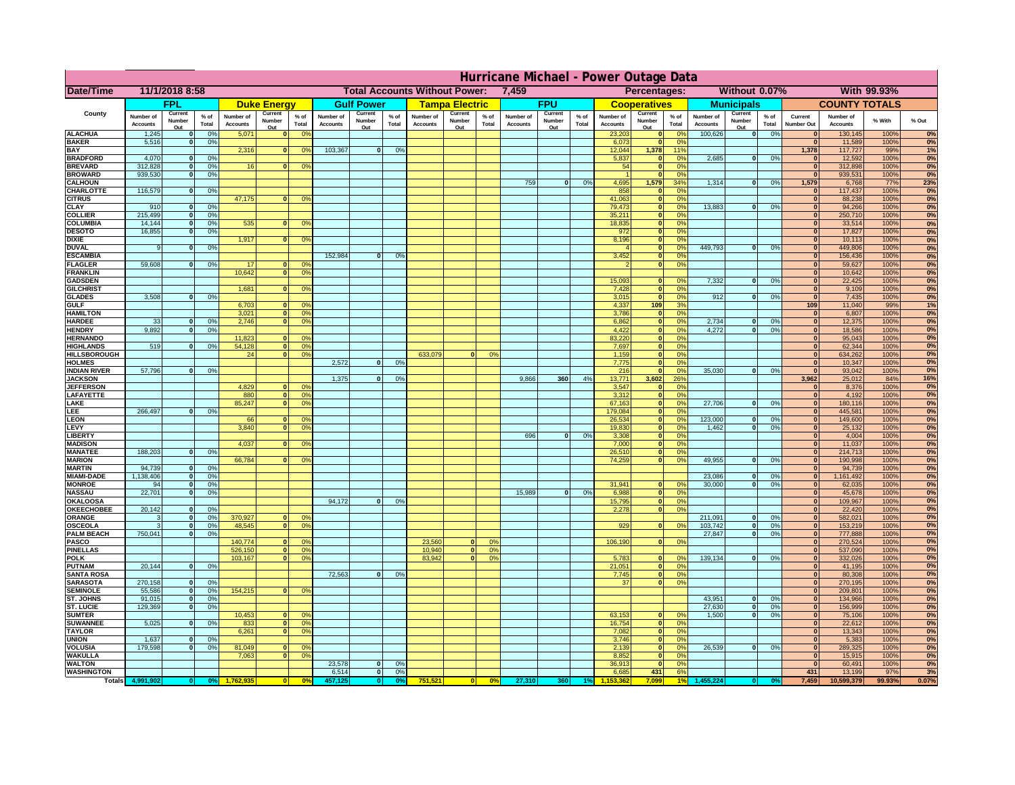|                                       | Hurricane Michael - Power Outage Data |                             |                      |                              |                          |                                              |                              |                                      |                |                              |                          |                 |                              |                          |                 |                              |                          |                      |                              |                          |                 |                              |                              |                    |             |
|---------------------------------------|---------------------------------------|-----------------------------|----------------------|------------------------------|--------------------------|----------------------------------------------|------------------------------|--------------------------------------|----------------|------------------------------|--------------------------|-----------------|------------------------------|--------------------------|-----------------|------------------------------|--------------------------|----------------------|------------------------------|--------------------------|-----------------|------------------------------|------------------------------|--------------------|-------------|
| Date/Time                             |                                       | 11/1/2018 8:58              |                      |                              |                          |                                              |                              | <b>Total Accounts Without Power:</b> |                |                              |                          |                 | 7,459                        |                          |                 |                              | Percentages:             |                      |                              | Without 0.07%            |                 |                              |                              | With 99.93%        |             |
|                                       |                                       | FPL                         |                      |                              | <b>Duke Energy</b>       |                                              |                              | <b>Gulf Power</b>                    |                |                              | <b>Tampa Electric</b>    |                 |                              | <b>FPU</b>               |                 |                              | <b>Cooperatives</b>      |                      |                              | <b>Municipals</b>        |                 |                              | <b>COUNTY TOTALS</b>         |                    |             |
| County                                | Number of<br><b>Accounts</b>          | Current<br>Number<br>Out    | $%$ of<br>Total      | Number of<br><b>Accounts</b> | Current<br>Number<br>Out | $%$ of<br>Total                              | Number of<br><b>Accounts</b> | Current<br>Number<br>Out             | % of<br>Total  | Number of<br><b>Accounts</b> | Current<br>Number<br>Out | $%$ of<br>Total | Number of<br><b>Accounts</b> | Current<br>Number<br>Out | $%$ of<br>Total | Number of<br><b>Accounts</b> | Current<br>Number<br>Out | $%$ of<br>Total      | Number of<br><b>Accounts</b> | Current<br>Number<br>Out | $%$ of<br>Total | Current<br><b>Number Out</b> | Number of<br><b>Accounts</b> | % With             | % Out       |
| <b>ALACHUA</b>                        | 1,245                                 | $\mathbf{0}$                | 0%                   | 5,071                        | $\mathbf{0}$             | 0 <sup>9</sup>                               |                              |                                      |                |                              |                          |                 |                              |                          |                 | 23,203                       | 0                        | 0 <sup>9</sup>       | 100,626                      | 0                        | 0%              | $\bf{0}$                     | 130,145                      | 100%               | 0%          |
| <b>BAKER</b><br><b>BAY</b>            | 5,516                                 | 0                           | 0%                   | 2,316                        |                          | 0 <br>0 <sup>9</sup>                         | 103,367                      | 0                                    | 0%             |                              |                          |                 |                              |                          |                 | 6,073<br>12,044              | 0 <br>1,378              | 0%<br>11%            |                              |                          |                 | 0 <br>1,378                  | 11,589<br>117,727            | 100%<br>99%        | 0%<br>1%    |
| <b>BRADFORD</b>                       | 4,070                                 | $\mathbf{0}$                | 0%                   |                              |                          |                                              |                              |                                      |                |                              |                          |                 |                              |                          |                 | 5,837                        | 0                        | 0%                   | 2,685                        | 0                        | 0%              | $\bf{0}$                     | 12,592                       | 100%               | 0%          |
| <b>BREVARD</b>                        | 312,828                               | 0                           | 0%                   | 16                           | 0                        | 0 <sup>o</sup>                               |                              |                                      |                |                              |                          |                 |                              |                          |                 | 54                           | 0                        | 0%                   |                              |                          |                 | 0                            | 312,898                      | 100%               | 0%          |
| <b>BROWARD</b>                        | 939.530                               | 0                           | 0%                   |                              |                          |                                              |                              |                                      |                |                              |                          |                 |                              |                          |                 |                              | 0                        | 0%                   |                              |                          |                 | $\bf{0}$                     | 939,531                      | 100%               | 0%          |
| <b>CALHOUN</b><br>CHARLOTTE           | 116,579                               | 0                           | 0%                   |                              |                          |                                              |                              |                                      |                |                              |                          |                 | 759                          | $\mathbf{0}$             | 0%              | 4,695<br>858                 | 1,579<br> 0              | 34%<br>0%            | 1,314                        | 0                        | 0%              | 1,579<br>$\bf{0}$            | 6,768<br>117,437             | <b>77%</b><br>100% | 23%<br>0%   |
| <b>CITRUS</b>                         |                                       |                             |                      | 47,175                       | $\mathbf{0}$             | 0 <sup>o</sup>                               |                              |                                      |                |                              |                          |                 |                              |                          |                 | 41,063                       | 0                        | 0 <sup>9</sup>       |                              |                          |                 | $\bf{0}$                     | 88,238                       | 100%               | 0%          |
| <b>CLAY</b>                           | 910                                   | $\mathbf{0}$                | 0%                   |                              |                          |                                              |                              |                                      |                |                              |                          |                 |                              |                          |                 | 79,473                       | 0                        | 0 <sup>9</sup>       | 13,883                       | $\mathbf{0}$             | 0%              | $\bf{0}$                     | 94,266                       | 100%               | 0%          |
| <b>COLLIER</b><br><b>COLUMBIA</b>     | 215,499<br>14,144                     | $\mathbf{0}$<br>$\mathbf 0$ | 0 <sup>9</sup><br>0% | 535                          | $\mathbf{0}$             | 0 <sup>9</sup>                               |                              |                                      |                |                              |                          |                 |                              |                          |                 | 35,211<br>18,835             | 0 <br> 0                 | 0%<br>0%             |                              |                          |                 | $\bf{0}$<br>$\bf{0}$         | 250,710<br>33,514            | 100%<br>100%       | 0%<br>0%    |
| <b>DESOTO</b>                         | 16,855                                | $\mathbf{0}$                | 0%                   |                              |                          |                                              |                              |                                      |                |                              |                          |                 |                              |                          |                 | 972                          | 0                        | 0%                   |                              |                          |                 | $\bf{0}$                     | 17,827                       | 100%               | 0%          |
| <b>DIXIE</b>                          |                                       |                             |                      | 1,917                        | $\Omega$                 | 0 <sup>9</sup>                               |                              |                                      |                |                              |                          |                 |                              |                          |                 | 8,196                        | 0                        | 0%                   |                              |                          |                 | $\Omega$                     | 10,113                       | 100%               | 0%          |
| <b>DUVAL</b>                          | 9                                     | $\Omega$                    | 0%                   |                              |                          |                                              |                              |                                      |                |                              |                          |                 |                              |                          |                 |                              | 0                        | 0%                   | 449.793                      | $\overline{0}$           | 0%              | $\Omega$<br>$\Omega$         | 449,806                      | 100%               | 0%          |
| <b>ESCAMBIA</b><br><b>FLAGLER</b>     | 59,608                                | $\overline{0}$              | 0%                   | 17                           | $\bf{0}$                 | 0 <sup>o</sup>                               | 152,984                      | $\mathbf{0}$                         | 0 <sup>9</sup> |                              |                          |                 |                              |                          |                 | 3,452                        | 0 <br> 0                 | 0%<br>0%             |                              |                          |                 | $\bf{0}$                     | 156,436<br>59,627            | 100%<br>100%       | 0%<br>0%    |
| <b>FRANKLIN</b>                       |                                       |                             |                      | 10,642                       | 0                        | 0 <sup>9</sup>                               |                              |                                      |                |                              |                          |                 |                              |                          |                 |                              |                          |                      |                              |                          |                 | $\overline{0}$               | 10,642                       | 100%               | 0%          |
| <b>GADSDEN</b>                        |                                       |                             |                      |                              |                          |                                              |                              |                                      |                |                              |                          |                 |                              |                          |                 | 15,093                       | $\mathbf{0}$             | 0%                   | 7,332                        | 0                        | 0%              | $\overline{0}$               | 22,425                       | 100%               | 0%          |
| <b>GILCHRIST</b><br><b>GLADES</b>     | 3,508                                 | 0                           | 0%                   | 1,681                        | $\Omega$                 | 0 <sup>9</sup>                               |                              |                                      |                |                              |                          |                 |                              |                          |                 | 7,428<br>3,015               | 0 <br> 0                 | 0%<br>0%             | 912                          | $\overline{0}$           | 0%              | $\hat{\mathbf{0}}$<br> 0     | 9,109<br>7,435               | 100%<br>100%       | 0%<br>0%    |
| <b>GULF</b>                           |                                       |                             |                      | 6,703                        |                          | $\mathbf{0}$<br>0 <sup>9</sup>               |                              |                                      |                |                              |                          |                 |                              |                          |                 | 4,337                        | 109                      | 3%                   |                              |                          |                 | 109                          | 11,040                       | 99%                | 1%          |
| <b>HAMILTON</b>                       |                                       |                             |                      | 3,021                        |                          | $\overline{0}$<br>0 <sup>9</sup>             |                              |                                      |                |                              |                          |                 |                              |                          |                 | 3,786                        | 0                        | 0%                   |                              |                          |                 | 0                            | 6,807                        | 100%               | 0%          |
| <b>HARDEE</b>                         | 33                                    | $\overline{0}$              | 0%                   | 2.746                        | 0                        | 0 <sup>9</sup>                               |                              |                                      |                |                              |                          |                 |                              |                          |                 | 6.862                        | 0                        | 0%                   | 2.734                        | $\mathbf{0}$             | 0%              | 0                            | 12,375                       | 100%               | 0%          |
| <b>HENDRY</b><br><b>HERNANDO</b>      | 9,892                                 | $\Omega$                    | 0%                   | 11,823                       | $\mathbf{0}$             | 0 <sup>9</sup>                               |                              |                                      |                |                              |                          |                 |                              |                          |                 | 4,422<br>83,220              | 0 <br> 0                 | 0%<br>0%             | 4,272                        | $\Omega$                 | 0%              | 0 <br>$\mathbf{0}$           | 18,586<br>95,043             | 100%<br>100%       | 0%<br>0%    |
| <b>HIGHLANDS</b>                      | 519                                   | $\mathbf{0}$                | 0 <sup>9</sup>       | 54,128                       | 0                        | 0 <sup>9</sup>                               |                              |                                      |                |                              |                          |                 |                              |                          |                 | 7,697                        | 0                        | 0%                   |                              |                          |                 | $\mathbf{0}$                 | 62,344                       | 100%               | 0%          |
| <b>HILLSBOROUGH</b>                   |                                       |                             |                      | 24                           |                          | $\overline{0}$<br>0 <sup>9</sup>             |                              |                                      |                | 633,079                      |                          | 0%              |                              |                          |                 | 1,159                        | 0                        | 0%                   |                              |                          |                 | $\mathbf{0}$                 | 634,262                      | 100%               | 0%          |
| <b>HOLMES</b>                         |                                       |                             |                      |                              |                          |                                              | 2.572                        | $\mathbf{0}$                         | 0%             |                              |                          |                 |                              |                          |                 | 7,775                        | 0                        | 0%                   |                              |                          |                 | $\mathbf{0}$                 | 10,347                       | 100%               | 0%          |
| <b>INDIAN RIVER</b><br><b>JACKSON</b> | 57,796                                | $\mathbf{0}$                | 0%                   |                              |                          |                                              | 1.375                        | $\mathbf{0}$                         | 0 <sup>9</sup> |                              |                          |                 | 9.866                        | 360                      | 4%              | 216<br>13.771                | 0 <br>3.602              | 0%<br>26%            | 35,030                       | $\mathbf{0}$             | 0%              | $\mathbf{0}$<br>3.962        | 93,042<br>25,012             | 100%<br>84%        | 0%<br>16%   |
| <b>JEFFERSON</b>                      |                                       |                             |                      | 4.829                        | n l                      | 0 <sup>9</sup>                               |                              |                                      |                |                              |                          |                 |                              |                          |                 | 3.547                        | 0                        | 0%                   |                              |                          |                 | 0                            | 8.376                        | 100%               | 0%          |
| LAFAYETTE                             |                                       |                             |                      | 880                          | 0                        | 0 <sup>9</sup>                               |                              |                                      |                |                              |                          |                 |                              |                          |                 | 3.312                        | 0                        | 0%                   |                              |                          |                 | 0                            | 4,192                        | 100%               | 0%          |
| LAKE                                  |                                       | $\Omega$                    |                      | 85,247                       | $\mathbf{0}$             | 0 <sup>9</sup>                               |                              |                                      |                |                              |                          |                 |                              |                          |                 | 67,163                       | 0                        | 0%                   | 27,706                       | $\Omega$                 | 0%              | 0                            | 180,116                      | 100%               | 0%<br>0%    |
| EE.<br>LEON                           | 266,497                               |                             | 0%                   | 66                           | $\mathbf{0}$             | 0 <sup>o</sup>                               |                              |                                      |                |                              |                          |                 |                              |                          |                 | 179,084<br>26,534            | 0 <br> 0                 | 0%<br>0%             | 123,000                      | $\mathbf{0}$             | 0%              | 0 <br> 0                     | 445,581<br>149,600           | 100%<br>100%       | 0%          |
| LEVY                                  |                                       |                             |                      | 3,840                        | $\Omega$                 | 0 <sup>9</sup>                               |                              |                                      |                |                              |                          |                 |                              |                          |                 | 19,830                       | 0                        | 0%                   | 1,462                        | -ol                      | 0%              | 0                            | 25,132                       | 100%               | 0%          |
| LIBERTY                               |                                       |                             |                      |                              |                          |                                              |                              |                                      |                |                              |                          |                 | 696                          | $\Omega$                 | 0%              | 3,308                        | 0                        | 0%                   |                              |                          |                 | 0                            | 4,004                        | 100%               | 0%          |
| <b>MADISON</b><br><b>MANATEE</b>      | 188,203                               | 0                           | 0%                   | 4,037                        | $\Omega$                 | 0 <sup>9</sup>                               |                              |                                      |                |                              |                          |                 |                              |                          |                 | 7,000<br>26,510              | 0 <br> 0                 | 0%<br>0%             |                              |                          |                 | 0 <br> 0                     | 11,037<br>214,713            | 100%<br>100%       | 0%<br>0%    |
| <b>MARION</b>                         |                                       |                             |                      | 66,784                       | $\Omega$                 | 0 <sup>9</sup>                               |                              |                                      |                |                              |                          |                 |                              |                          |                 | 74,259                       | 0                        | 0%                   | 49,955                       | nl                       | 0%              | 0                            | 190,998                      | 100%               | 0%          |
| <b>MARTIN</b>                         | 94,739                                | 0                           | 0%                   |                              |                          |                                              |                              |                                      |                |                              |                          |                 |                              |                          |                 |                              |                          |                      |                              |                          |                 | 0                            | 94,739                       | 100%               | 0%          |
| <b>MIAMI-DADE</b>                     | 1,138,406                             | 0                           | 0%                   |                              |                          |                                              |                              |                                      |                |                              |                          |                 |                              |                          |                 |                              |                          |                      | 23,086                       | $\mathbf{0}$             | 0%              | 0                            | 1,161,492                    | 100%               | 0%          |
| <b>MONROE</b><br><b>NASSAU</b>        | 94<br>22,701                          | 0 <br> 0                    | 0%<br>0%             |                              |                          |                                              |                              |                                      |                |                              |                          |                 | 15,989                       | 0                        | 0%              | 31,941<br>6,988              | $\overline{0}$<br> 0     | 0 <sup>9</sup><br>0% | 30,000                       | 0                        | 0%              | 0 <br> 0                     | 62,035<br>45,678             | 100%<br>100%       | 0%<br>0%    |
| <b>OKALOOSA</b>                       |                                       |                             |                      |                              |                          |                                              | 94,172                       | $\mathbf{0}$                         | 0%             |                              |                          |                 |                              |                          |                 | 15,795                       | 0                        | 0%                   |                              |                          |                 | 0                            | 109,967                      | 100%               | 0%          |
| <b>OKEECHOBEE</b>                     | 20,142                                | 0                           | 0%                   |                              |                          |                                              |                              |                                      |                |                              |                          |                 |                              |                          |                 | 2,278                        |                          | 0%<br> 0             |                              |                          |                 | 0                            | 22,420                       | 100%               | 0%          |
| ORANGE<br><b>OSCEOLA</b>              | 3<br>3                                | 0 <br> 0                    | 0%<br>0%             | 370,927<br>48,545            |                          | 0 <br>0 <sup>o</sup><br>0 <sup>9</sup><br> 0 |                              |                                      |                |                              |                          |                 |                              |                          |                 | 929                          |                          | 0 <br>0%             | 211,091<br>103,742           | $\mathbf{0}$<br> 0       | 0%<br>0%        | 0 <br> 0                     | 582,021<br>153,219           | 100%<br>100%       | 0%<br>0%    |
| <b>PALM BEACH</b>                     | 750,041                               | 0                           | 0%                   |                              |                          |                                              |                              |                                      |                |                              |                          |                 |                              |                          |                 |                              |                          |                      | 27,847                       | $\overline{\mathbf{0}}$  | 0%              | 0                            | 777,888                      | 100%               | 0%          |
| <b>PASCO</b>                          |                                       |                             |                      | 140,774                      | $\Omega$                 | 0 <sup>9</sup>                               |                              |                                      |                | 23,560                       | $\Omega$                 | $^{\circ}$      |                              |                          |                 | 106,190                      |                          | 0 <br>0%             |                              |                          |                 | 0                            | 270,524                      | 100%               | 0%          |
| <b>PINELLAS</b>                       |                                       |                             |                      | 526,150                      |                          | 0 <sup>9</sup><br> 0                         |                              |                                      |                | 10,940                       | 0                        | 0%              |                              |                          |                 |                              |                          |                      |                              |                          |                 | $\Omega$                     | 537,090                      | 100%               | 0%          |
| <b>POLK</b><br><b>PUTNAM</b>          | 20,144                                | 0                           | 0%                   | 103,167                      |                          | 0 <sup>9</sup><br> 0                         |                              |                                      |                | 83,942                       | $\mathbf{a}$             | 0%              |                              |                          |                 | 5,783<br>21,051              | 0 <br>$\ddot{\text{o}}$  | $\Omega$<br>0%       | 139,134                      | 0                        | 0%              | 0 <br>$\bf{0}$               | 332,026<br>41,195            | 100%<br>100%       | 0%<br>0%    |
| <b>SANTA ROSA</b>                     |                                       |                             |                      |                              |                          |                                              | 72,563                       | 0                                    | 0%             |                              |                          |                 |                              |                          |                 | 7,745                        | 0                        | 0%                   |                              |                          |                 | $\mathbf{0}$                 | 80,308                       | 100%               | 0%          |
| <b>SARASOTA</b>                       | 270,158                               | 0                           | 0%                   |                              |                          |                                              |                              |                                      |                |                              |                          |                 |                              |                          |                 | 37                           |                          | 0 <br>0%             |                              |                          |                 | $\mathbf{0}$                 | 270,195                      | 100%               | 0%          |
| <b>SEMINOLE</b>                       | 55,586                                | 0                           | 0%                   | 154,215                      |                          | $\mathbf{0}$<br>0 <sup>9</sup>               |                              |                                      |                |                              |                          |                 |                              |                          |                 |                              |                          |                      |                              |                          |                 | $\mathbf{0}$                 | 209,801                      | 100%               | 0%          |
| ST. JOHNS<br><b>ST. LUCIE</b>         | 91,015<br>129.369                     | 0 <br>$\mathbf{0}$          | 0%<br>0%             |                              |                          |                                              |                              |                                      |                |                              |                          |                 |                              |                          |                 |                              |                          |                      | 43,951<br>27.630             | -ol<br>- O I             | 0%<br>0%        | 0 <br> 0                     | 134,966<br>156,999           | 100%<br>100%       | 0%<br>0%    |
| <b>SUMTER</b>                         |                                       |                             |                      | 10,453                       | $\overline{0}$           | 0 <sup>9</sup>                               |                              |                                      |                |                              |                          |                 |                              |                          |                 | 63,153                       | 0                        | 0%                   | 1.500                        | 0                        | 0%              | 0                            | 75,106                       | 100%               | 0%          |
| <b>SUWANNEE</b>                       | 5,025                                 | 0                           | 0%                   | 833                          | 0                        | 0 <sup>o</sup>                               |                              |                                      |                |                              |                          |                 |                              |                          |                 | 16,754                       | 0                        | 0%                   |                              |                          |                 | $\mathbf{0}$                 | 22,612                       | 100%               | 0%          |
| <b>TAYLOR</b>                         |                                       |                             |                      | 6,261                        | 0                        | 0 <sup>9</sup>                               |                              |                                      |                |                              |                          |                 |                              |                          |                 | 7,082                        | 0                        | 0%                   |                              |                          |                 | $\bf{0}$                     | 13,343                       | 100%               | 0%          |
| <b>UNION</b><br><b>VOLUSIA</b>        | 1,637<br>179,598                      | $\mathbf{0}$<br>0           | 0%<br>0%             | 81,049                       | $\mathbf{0}$             | $\mathbf{0}$                                 |                              |                                      |                |                              |                          |                 |                              |                          |                 | 3,746<br>2,139               | 0 <br> 0                 | 0%<br>0%             | 26,539                       | 0                        | 0%              | $\bf{0}$<br>$\bf{0}$         | 5,383<br>289,325             | 100%<br>100%       | 0%<br>0%    |
| <b>WAKULLA</b>                        |                                       |                             |                      | 7,063                        | $\mathbf{0}$             | 0 <sup>9</sup>                               |                              |                                      |                |                              |                          |                 |                              |                          |                 | 8,852                        | 0                        | 0%                   |                              |                          |                 | $\mathbf{0}$                 | 15,915                       | 100%               | 0%          |
| <b>WALTON</b>                         |                                       |                             |                      |                              |                          |                                              | 23,578                       | $\mathbf{0}$                         | 0%             |                              |                          |                 |                              |                          |                 | 36,913                       | 0                        | 0%                   |                              |                          |                 | 0                            | 60,491                       | 100%               | 0%          |
| <b>WASHINGTON</b>                     |                                       |                             |                      |                              |                          | 0 <sup>6</sup>                               | 6,514                        | 0                                    | 0%             |                              |                          |                 |                              |                          |                 | 6,685                        | 431<br>7,099             | 6%<br>1 <sup>°</sup> |                              |                          |                 | 431<br>7,459                 | 13,199                       | 97%<br>99.93%      | 3%<br>0.07% |
| <b>Totals</b>                         |                                       |                             |                      |                              |                          |                                              |                              | $\bullet$                            |                | 751,521                      | 0                        | 0%              | 27,310                       | 360                      |                 |                              |                          |                      |                              |                          |                 |                              | 10,599,379                   |                    |             |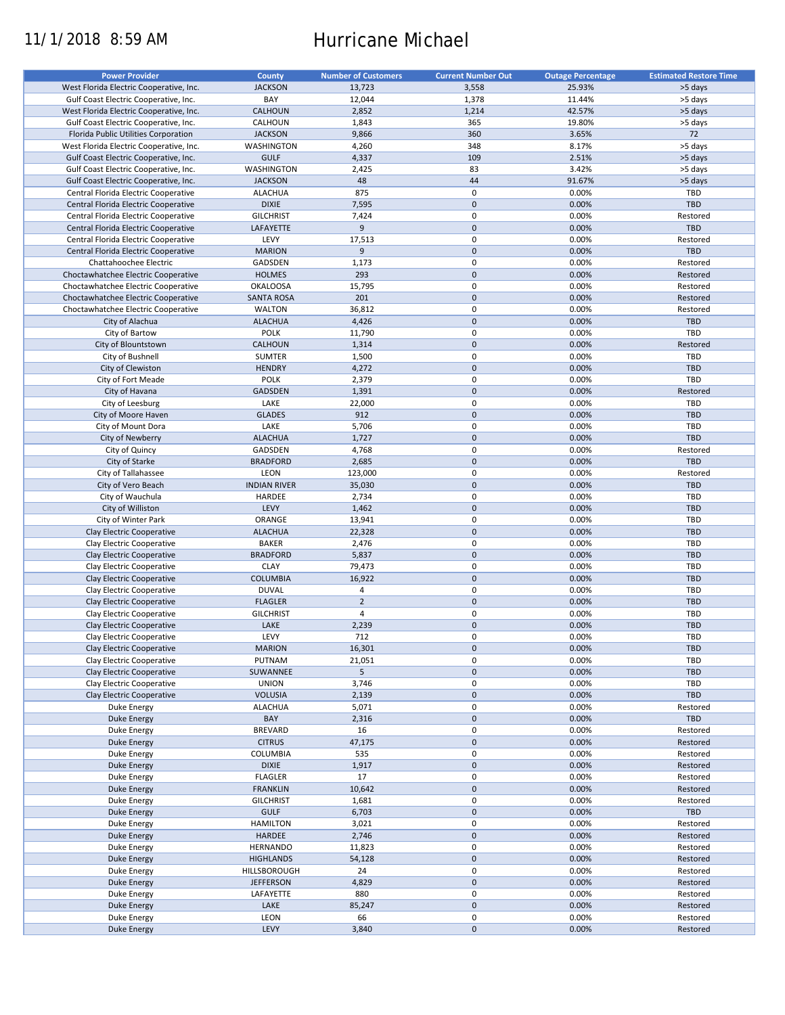# 11/1/2018 8:59 AM Hurricane Michael

| <b>Power Provider</b>                   | <b>County</b>       | <b>Number of Customers</b> | <b>Current Number Out</b> | <b>Outage Percentage</b> | <b>Estimated Restore Time</b> |
|-----------------------------------------|---------------------|----------------------------|---------------------------|--------------------------|-------------------------------|
|                                         |                     |                            |                           | 25.93%                   |                               |
| West Florida Electric Cooperative, Inc. | <b>JACKSON</b>      | 13,723                     | 3,558                     |                          | >5 days                       |
| Gulf Coast Electric Cooperative, Inc.   | BAY                 | 12,044                     | 1,378                     | 11.44%                   | >5 days                       |
| West Florida Electric Cooperative, Inc. | CALHOUN             | 2,852                      | 1,214                     | 42.57%                   | >5 days                       |
| Gulf Coast Electric Cooperative, Inc.   | CALHOUN             | 1,843                      | 365                       | 19.80%                   | >5 days                       |
| Florida Public Utilities Corporation    | <b>JACKSON</b>      | 9,866                      | 360                       | 3.65%                    | 72                            |
| West Florida Electric Cooperative, Inc. | WASHINGTON          | 4,260                      | 348                       | 8.17%                    | >5 days                       |
| Gulf Coast Electric Cooperative, Inc.   | <b>GULF</b>         | 4,337                      | 109                       | 2.51%                    | >5 days                       |
| Gulf Coast Electric Cooperative, Inc.   | WASHINGTON          | 2,425                      | 83                        | 3.42%                    | >5 days                       |
| Gulf Coast Electric Cooperative, Inc.   | <b>JACKSON</b>      | 48                         | 44                        | 91.67%                   | >5 days                       |
| Central Florida Electric Cooperative    | <b>ALACHUA</b>      | 875                        | 0                         | 0.00%                    | TBD                           |
| Central Florida Electric Cooperative    | <b>DIXIE</b>        | 7,595                      | $\mathbf 0$               | 0.00%                    | <b>TBD</b>                    |
| Central Florida Electric Cooperative    | <b>GILCHRIST</b>    | 7,424                      | $\pmb{0}$                 | 0.00%                    | Restored                      |
|                                         | LAFAYETTE           | 9                          | $\mathbf 0$               | 0.00%                    | <b>TBD</b>                    |
| Central Florida Electric Cooperative    |                     |                            |                           |                          |                               |
| Central Florida Electric Cooperative    | LEVY                | 17,513                     | 0                         | 0.00%                    | Restored                      |
| Central Florida Electric Cooperative    | <b>MARION</b>       | 9                          | $\mathbf 0$               | 0.00%                    | <b>TBD</b>                    |
| Chattahoochee Electric                  | GADSDEN             | 1,173                      | $\pmb{0}$                 | 0.00%                    | Restored                      |
| Choctawhatchee Electric Cooperative     | <b>HOLMES</b>       | 293                        | $\mathbf 0$               | 0.00%                    | Restored                      |
| Choctawhatchee Electric Cooperative     | <b>OKALOOSA</b>     | 15,795                     | $\pmb{0}$                 | 0.00%                    | Restored                      |
| Choctawhatchee Electric Cooperative     | <b>SANTA ROSA</b>   | 201                        | $\mathbf 0$               | 0.00%                    | Restored                      |
| Choctawhatchee Electric Cooperative     | <b>WALTON</b>       | 36,812                     | $\pmb{0}$                 | 0.00%                    | Restored                      |
| City of Alachua                         | <b>ALACHUA</b>      | 4,426                      | $\pmb{0}$                 | 0.00%                    | <b>TBD</b>                    |
| City of Bartow                          | <b>POLK</b>         | 11,790                     | $\pmb{0}$                 | 0.00%                    | TBD                           |
| City of Blountstown                     | <b>CALHOUN</b>      | 1,314                      | $\pmb{0}$                 | 0.00%                    | Restored                      |
|                                         |                     |                            |                           |                          |                               |
| City of Bushnell                        | <b>SUMTER</b>       | 1,500                      | $\pmb{0}$                 | 0.00%                    | TBD                           |
| City of Clewiston                       | <b>HENDRY</b>       | 4,272                      | $\pmb{0}$                 | 0.00%                    | <b>TBD</b>                    |
| City of Fort Meade                      | <b>POLK</b>         | 2,379                      | $\pmb{0}$                 | 0.00%                    | TBD                           |
| City of Havana                          | <b>GADSDEN</b>      | 1,391                      | $\mathbf 0$               | 0.00%                    | Restored                      |
| City of Leesburg                        | LAKE                | 22,000                     | $\pmb{0}$                 | 0.00%                    | TBD                           |
| City of Moore Haven                     | <b>GLADES</b>       | 912                        | $\pmb{0}$                 | 0.00%                    | <b>TBD</b>                    |
| City of Mount Dora                      | LAKE                | 5,706                      | $\pmb{0}$                 | 0.00%                    | TBD                           |
| City of Newberry                        | <b>ALACHUA</b>      | 1,727                      | $\pmb{0}$                 | 0.00%                    | <b>TBD</b>                    |
| City of Quincy                          | GADSDEN             | 4,768                      | 0                         | 0.00%                    | Restored                      |
| City of Starke                          | <b>BRADFORD</b>     | 2,685                      | $\mathbf 0$               | 0.00%                    | <b>TBD</b>                    |
|                                         |                     |                            |                           |                          |                               |
| City of Tallahassee                     | LEON                | 123,000                    | 0                         | 0.00%                    | Restored                      |
| City of Vero Beach                      | <b>INDIAN RIVER</b> | 35,030                     | $\mathbf 0$               | 0.00%                    | <b>TBD</b>                    |
| City of Wauchula                        | HARDEE              | 2,734                      | 0                         | 0.00%                    | TBD                           |
| City of Williston                       | LEVY                | 1,462                      | $\pmb{0}$                 | 0.00%                    | <b>TBD</b>                    |
| City of Winter Park                     | ORANGE              | 13,941                     | 0                         | 0.00%                    | TBD                           |
| Clay Electric Cooperative               | <b>ALACHUA</b>      | 22,328                     | $\mathbf 0$               | 0.00%                    | <b>TBD</b>                    |
| Clay Electric Cooperative               | <b>BAKER</b>        | 2,476                      | 0                         | 0.00%                    | TBD                           |
| Clay Electric Cooperative               | <b>BRADFORD</b>     | 5,837                      | $\mathbf 0$               | 0.00%                    | <b>TBD</b>                    |
| Clay Electric Cooperative               | <b>CLAY</b>         | 79,473                     | $\pmb{0}$                 | 0.00%                    | TBD                           |
| Clay Electric Cooperative               | <b>COLUMBIA</b>     | 16,922                     | $\mathbf 0$               | 0.00%                    | <b>TBD</b>                    |
| Clay Electric Cooperative               | <b>DUVAL</b>        | 4                          | $\pmb{0}$                 | 0.00%                    | TBD                           |
| Clay Electric Cooperative               |                     | $\overline{2}$             | $\mathbf 0$               |                          | <b>TBD</b>                    |
|                                         | <b>FLAGLER</b>      |                            |                           | 0.00%                    |                               |
| Clay Electric Cooperative               | <b>GILCHRIST</b>    | 4                          | $\pmb{0}$                 | 0.00%                    | TBD                           |
| Clay Electric Cooperative               | LAKE                | 2,239                      | $\pmb{0}$                 | 0.00%                    | <b>TBD</b>                    |
| Clay Electric Cooperative               | LEVY                | 712                        | $\mathbf 0$               | 0.00%                    | TBD                           |
| Clay Electric Cooperative               | <b>MARION</b>       | 16,301                     | $\pmb{0}$                 | 0.00%                    | TBD                           |
| Clay Electric Cooperative               | PUTNAM              | 21,051                     | 0                         | 0.00%                    | TBD                           |
| Clay Electric Cooperative               | SUWANNEE            | 5                          | $\mathsf{O}\xspace$       | 0.00%                    | <b>TBD</b>                    |
| Clay Electric Cooperative               | <b>UNION</b>        | 3,746                      | 0                         | 0.00%                    | TBD                           |
| Clay Electric Cooperative               | <b>VOLUSIA</b>      | 2,139                      | $\mathsf{O}\xspace$       | 0.00%                    | <b>TBD</b>                    |
| Duke Energy                             | <b>ALACHUA</b>      | 5,071                      | 0                         | 0.00%                    | Restored                      |
|                                         | BAY                 |                            | $\mathsf{O}\xspace$       | 0.00%                    | TBD                           |
| <b>Duke Energy</b>                      |                     | 2,316                      |                           |                          |                               |
| Duke Energy                             | <b>BREVARD</b>      | 16                         | 0                         | 0.00%                    | Restored                      |
| Duke Energy                             | <b>CITRUS</b>       | 47,175                     | $\mathsf{O}\xspace$       | 0.00%                    | Restored                      |
| Duke Energy                             | COLUMBIA            | 535                        | 0                         | 0.00%                    | Restored                      |
| <b>Duke Energy</b>                      | <b>DIXIE</b>        | 1,917                      | $\pmb{0}$                 | 0.00%                    | Restored                      |
| Duke Energy                             | <b>FLAGLER</b>      | 17                         | 0                         | 0.00%                    | Restored                      |
| Duke Energy                             | <b>FRANKLIN</b>     | 10,642                     | $\pmb{0}$                 | 0.00%                    | Restored                      |
| Duke Energy                             | <b>GILCHRIST</b>    | 1,681                      | 0                         | 0.00%                    | Restored                      |
| <b>Duke Energy</b>                      | <b>GULF</b>         | 6,703                      | $\pmb{0}$                 | 0.00%                    | TBD                           |
| Duke Energy                             | <b>HAMILTON</b>     | 3,021                      | $\pmb{0}$                 | 0.00%                    | Restored                      |
| <b>Duke Energy</b>                      | HARDEE              | 2,746                      | $\pmb{0}$                 | 0.00%                    | Restored                      |
|                                         |                     |                            |                           |                          |                               |
| Duke Energy                             | <b>HERNANDO</b>     | 11,823                     | $\pmb{0}$                 | 0.00%                    | Restored                      |
| <b>Duke Energy</b>                      | <b>HIGHLANDS</b>    | 54,128                     | $\pmb{0}$                 | 0.00%                    | Restored                      |
| Duke Energy                             | HILLSBOROUGH        | 24                         | $\pmb{0}$                 | 0.00%                    | Restored                      |
| <b>Duke Energy</b>                      | <b>JEFFERSON</b>    | 4,829                      | $\pmb{0}$                 | 0.00%                    | Restored                      |
| Duke Energy                             | LAFAYETTE           | 880                        | $\pmb{0}$                 | 0.00%                    | Restored                      |
| <b>Duke Energy</b>                      | LAKE                | 85,247                     | $\pmb{0}$                 | 0.00%                    | Restored                      |
| Duke Energy                             | LEON                | 66                         | 0                         | 0.00%                    | Restored                      |
| <b>Duke Energy</b>                      | LEVY                | 3,840                      | $\pmb{0}$                 | 0.00%                    | Restored                      |
|                                         |                     |                            |                           |                          |                               |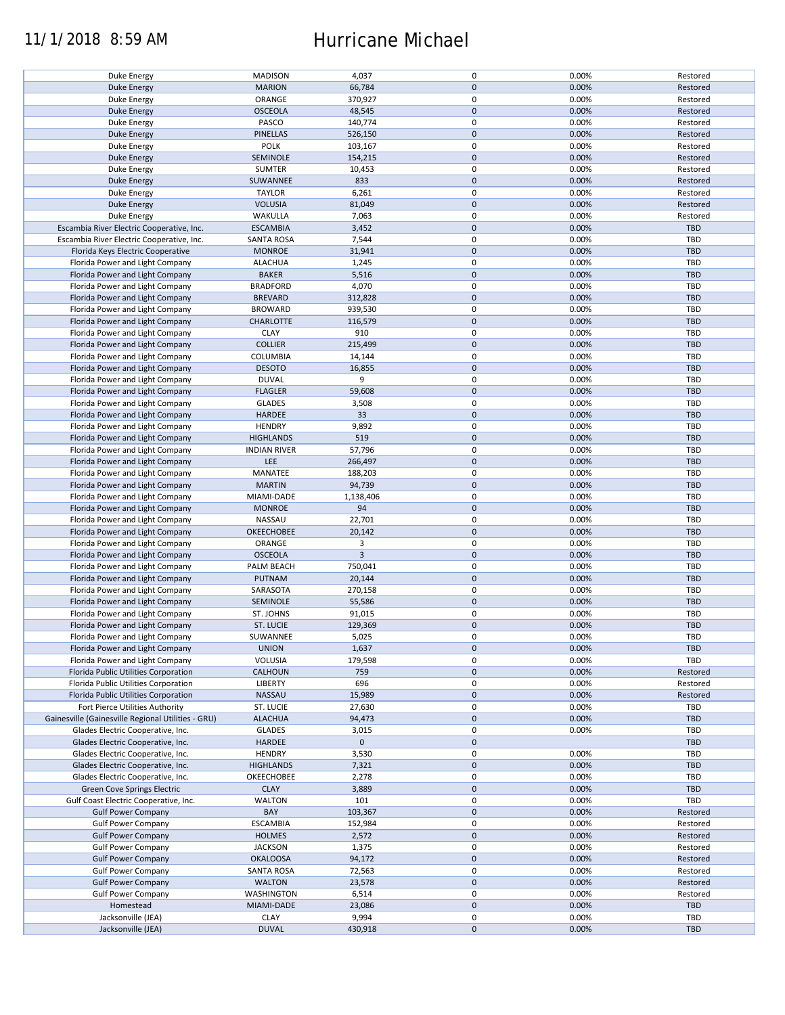## 11/1/2018 8:59 AM Hurricane Michael

| Duke Energy                                        | <b>MADISON</b>      | 4,037       | 0           | 0.00% | Restored   |
|----------------------------------------------------|---------------------|-------------|-------------|-------|------------|
| <b>Duke Energy</b>                                 | <b>MARION</b>       | 66,784      | $\mathbf 0$ | 0.00% | Restored   |
|                                                    |                     |             |             |       |            |
| Duke Energy                                        | ORANGE              | 370,927     | 0           | 0.00% | Restored   |
| <b>Duke Energy</b>                                 | <b>OSCEOLA</b>      | 48,545      | $\mathbf 0$ | 0.00% | Restored   |
| Duke Energy                                        | PASCO               | 140,774     | $\mathbf 0$ | 0.00% | Restored   |
|                                                    |                     |             |             |       |            |
| <b>Duke Energy</b>                                 | <b>PINELLAS</b>     | 526,150     | $\mathbf 0$ | 0.00% | Restored   |
| Duke Energy                                        | <b>POLK</b>         | 103,167     | 0           | 0.00% | Restored   |
| Duke Energy                                        | SEMINOLE            | 154,215     | $\mathbf 0$ | 0.00% | Restored   |
|                                                    |                     |             |             |       |            |
| Duke Energy                                        | <b>SUMTER</b>       | 10,453      | 0           | 0.00% | Restored   |
| <b>Duke Energy</b>                                 | SUWANNEE            | 833         | $\mathbf 0$ | 0.00% | Restored   |
| Duke Energy                                        | <b>TAYLOR</b>       | 6,261       | $\pmb{0}$   | 0.00% | Restored   |
|                                                    |                     |             |             |       |            |
| <b>Duke Energy</b>                                 | <b>VOLUSIA</b>      | 81,049      | $\mathbf 0$ | 0.00% | Restored   |
| Duke Energy                                        | WAKULLA             | 7,063       | 0           | 0.00% | Restored   |
| Escambia River Electric Cooperative, Inc.          | <b>ESCAMBIA</b>     | 3,452       | $\mathbf 0$ | 0.00% | <b>TBD</b> |
|                                                    |                     |             |             |       |            |
| Escambia River Electric Cooperative, Inc.          | <b>SANTA ROSA</b>   | 7,544       | $\mathbf 0$ | 0.00% | <b>TBD</b> |
| Florida Keys Electric Cooperative                  | <b>MONROE</b>       | 31,941      | $\pmb{0}$   | 0.00% | <b>TBD</b> |
| Florida Power and Light Company                    | <b>ALACHUA</b>      | 1,245       | $\mathbf 0$ | 0.00% | <b>TBD</b> |
|                                                    |                     |             |             |       |            |
| Florida Power and Light Company                    | <b>BAKER</b>        | 5,516       | $\pmb{0}$   | 0.00% | <b>TBD</b> |
| Florida Power and Light Company                    | <b>BRADFORD</b>     | 4,070       | $\mathbf 0$ | 0.00% | <b>TBD</b> |
| Florida Power and Light Company                    | <b>BREVARD</b>      | 312,828     | $\mathbf 0$ | 0.00% | <b>TBD</b> |
|                                                    |                     |             |             |       |            |
| Florida Power and Light Company                    | <b>BROWARD</b>      | 939,530     | $\mathbf 0$ | 0.00% | <b>TBD</b> |
| Florida Power and Light Company                    | <b>CHARLOTTE</b>    | 116,579     | $\mathbf 0$ | 0.00% | <b>TBD</b> |
| Florida Power and Light Company                    | <b>CLAY</b>         | 910         | $\pmb{0}$   | 0.00% | TBD        |
|                                                    |                     |             |             |       |            |
| Florida Power and Light Company                    | <b>COLLIER</b>      | 215,499     | $\mathbf 0$ | 0.00% | <b>TBD</b> |
| Florida Power and Light Company                    | COLUMBIA            | 14,144      | 0           | 0.00% | <b>TBD</b> |
| Florida Power and Light Company                    | <b>DESOTO</b>       | 16,855      | $\mathbf 0$ | 0.00% | <b>TBD</b> |
|                                                    |                     |             |             |       |            |
| Florida Power and Light Company                    | <b>DUVAL</b>        | 9           | 0           | 0.00% | <b>TBD</b> |
| Florida Power and Light Company                    | <b>FLAGLER</b>      | 59,608      | $\pmb{0}$   | 0.00% | <b>TBD</b> |
| Florida Power and Light Company                    | <b>GLADES</b>       | 3,508       | 0           | 0.00% | <b>TBD</b> |
|                                                    |                     |             |             |       |            |
| Florida Power and Light Company                    | HARDEE              | 33          | $\mathbf 0$ | 0.00% | <b>TBD</b> |
| Florida Power and Light Company                    | <b>HENDRY</b>       | 9,892       | 0           | 0.00% | <b>TBD</b> |
|                                                    |                     | 519         | $\mathbf 0$ | 0.00% | <b>TBD</b> |
| Florida Power and Light Company                    | <b>HIGHLANDS</b>    |             |             |       |            |
| Florida Power and Light Company                    | <b>INDIAN RIVER</b> | 57,796      | $\pmb{0}$   | 0.00% | TBD        |
| Florida Power and Light Company                    | <b>LEE</b>          | 266,497     | $\mathbf 0$ | 0.00% | <b>TBD</b> |
|                                                    |                     |             |             |       |            |
| Florida Power and Light Company                    | MANATEE             | 188,203     | $\pmb{0}$   | 0.00% | TBD        |
| Florida Power and Light Company                    | <b>MARTIN</b>       | 94,739      | $\mathbf 0$ | 0.00% | <b>TBD</b> |
| Florida Power and Light Company                    | MIAMI-DADE          | 1,138,406   | 0           | 0.00% | <b>TBD</b> |
|                                                    |                     | 94          | $\mathbf 0$ | 0.00% | <b>TBD</b> |
| Florida Power and Light Company                    | <b>MONROE</b>       |             |             |       |            |
| Florida Power and Light Company                    | NASSAU              | 22,701      | 0           | 0.00% | <b>TBD</b> |
| Florida Power and Light Company                    | OKEECHOBEE          | 20,142      | $\mathbf 0$ | 0.00% | <b>TBD</b> |
|                                                    | ORANGE              | 3           | 0           | 0.00% | <b>TBD</b> |
| Florida Power and Light Company                    |                     |             |             |       |            |
| Florida Power and Light Company                    | <b>OSCEOLA</b>      | 3           | $\mathbf 0$ | 0.00% | <b>TBD</b> |
| Florida Power and Light Company                    | PALM BEACH          | 750,041     | 0           | 0.00% | <b>TBD</b> |
|                                                    |                     |             | $\mathbf 0$ |       | <b>TBD</b> |
| Florida Power and Light Company                    | PUTNAM              | 20,144      |             | 0.00% |            |
| Florida Power and Light Company                    | SARASOTA            | 270,158     | $\mathbf 0$ | 0.00% | <b>TBD</b> |
| Florida Power and Light Company                    | SEMINOLE            | 55,586      | $\mathbf 0$ | 0.00% | <b>TBD</b> |
|                                                    |                     |             |             |       |            |
| Florida Power and Light Company                    | ST. JOHNS           | 91,015      | $\pmb{0}$   | 0.00% | <b>TBD</b> |
| Florida Power and Light Company                    | ST. LUCIE           | 129,369     | $\mathbf 0$ | 0.00% | <b>TBD</b> |
| Florida Power and Light Company                    | SUWANNEE            | 5,025       | 0           | 0.00% | TBD        |
|                                                    |                     |             |             |       |            |
| Florida Power and Light Company                    | <b>UNION</b>        | 1,637       | $\mathbf 0$ | 0.00% | <b>TBD</b> |
| Florida Power and Light Company                    | VOLUSIA             | 179,598     | 0           | 0.00% | TBD        |
| Florida Public Utilities Corporation               | <b>CALHOUN</b>      | 759         | $\mathbf 0$ | 0.00% | Restored   |
|                                                    |                     |             |             |       |            |
| Florida Public Utilities Corporation               | <b>LIBERTY</b>      | 696         | 0           | 0.00% | Restored   |
| Florida Public Utilities Corporation               | <b>NASSAU</b>       | 15,989      | $\mathbf 0$ | 0.00% | Restored   |
| Fort Pierce Utilities Authority                    | ST. LUCIE           | 27,630      | 0           | 0.00% | <b>TBD</b> |
|                                                    |                     |             |             |       |            |
| Gainesville (Gainesville Regional Utilities - GRU) | <b>ALACHUA</b>      | 94,473      | $\mathbf 0$ | 0.00% | <b>TBD</b> |
| Glades Electric Cooperative, Inc.                  | <b>GLADES</b>       | 3,015       | $\pmb{0}$   | 0.00% | <b>TBD</b> |
| Glades Electric Cooperative, Inc.                  | HARDEE              | $\mathbf 0$ | $\mathbf 0$ |       | <b>TBD</b> |
|                                                    |                     |             |             |       |            |
| Glades Electric Cooperative, Inc.                  | <b>HENDRY</b>       | 3,530       | $\pmb{0}$   | 0.00% | <b>TBD</b> |
| Glades Electric Cooperative, Inc.                  | <b>HIGHLANDS</b>    | 7,321       | $\mathbf 0$ | 0.00% | <b>TBD</b> |
| Glades Electric Cooperative, Inc.                  | OKEECHOBEE          | 2,278       | $\pmb{0}$   | 0.00% | <b>TBD</b> |
|                                                    |                     |             |             |       |            |
| Green Cove Springs Electric                        | <b>CLAY</b>         | 3,889       | $\mathbf 0$ | 0.00% | <b>TBD</b> |
| Gulf Coast Electric Cooperative, Inc.              | <b>WALTON</b>       | 101         | 0           | 0.00% | <b>TBD</b> |
| <b>Gulf Power Company</b>                          | BAY                 | 103,367     | $\pmb{0}$   | 0.00% | Restored   |
|                                                    |                     |             |             |       |            |
| <b>Gulf Power Company</b>                          | ESCAMBIA            | 152,984     | 0           | 0.00% | Restored   |
| <b>Gulf Power Company</b>                          | <b>HOLMES</b>       | 2,572       | $\mathbf 0$ | 0.00% | Restored   |
| <b>Gulf Power Company</b>                          | <b>JACKSON</b>      | 1,375       | $\pmb{0}$   | 0.00% | Restored   |
|                                                    |                     |             |             |       |            |
| <b>Gulf Power Company</b>                          | <b>OKALOOSA</b>     | 94,172      | $\pmb{0}$   | 0.00% | Restored   |
| <b>Gulf Power Company</b>                          | <b>SANTA ROSA</b>   | 72,563      | 0           | 0.00% | Restored   |
| <b>Gulf Power Company</b>                          | <b>WALTON</b>       | 23,578      | $\mathbf 0$ | 0.00% | Restored   |
|                                                    |                     |             |             |       |            |
| <b>Gulf Power Company</b>                          | WASHINGTON          | 6,514       | $\pmb{0}$   | 0.00% | Restored   |
| Homestead                                          | MIAMI-DADE          | 23,086      | $\mathbf 0$ | 0.00% | <b>TBD</b> |
| Jacksonville (JEA)                                 | <b>CLAY</b>         | 9,994       | 0           | 0.00% | <b>TBD</b> |
|                                                    |                     |             |             |       |            |
| Jacksonville (JEA)                                 | <b>DUVAL</b>        | 430,918     | $\pmb{0}$   | 0.00% | <b>TBD</b> |